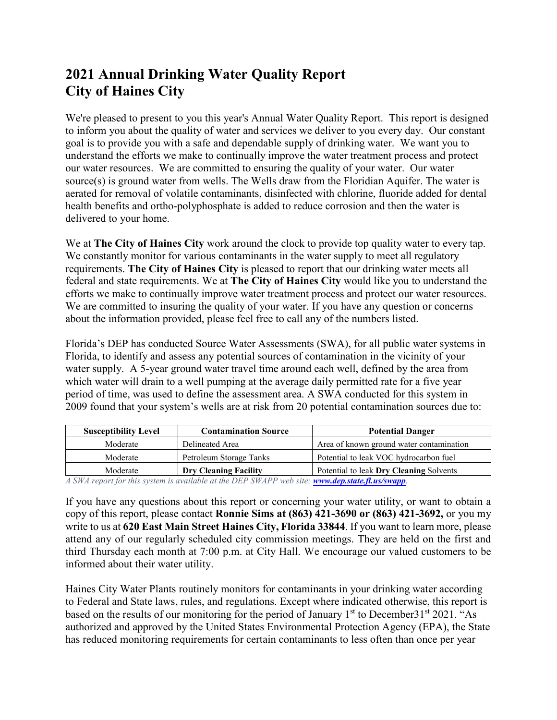## **2021 Annual Drinking Water Quality Report City of Haines City**

We're pleased to present to you this year's Annual Water Quality Report. This report is designed to inform you about the quality of water and services we deliver to you every day. Our constant goal is to provide you with a safe and dependable supply of drinking water. We want you to understand the efforts we make to continually improve the water treatment process and protect our water resources. We are committed to ensuring the quality of your water. Our water source(s) is ground water from wells. The Wells draw from the Floridian Aquifer. The water is aerated for removal of volatile contaminants, disinfected with chlorine, fluoride added for dental health benefits and ortho-polyphosphate is added to reduce corrosion and then the water is delivered to your home.

We at **The City of Haines City** work around the clock to provide top quality water to every tap. We constantly monitor for various contaminants in the water supply to meet all regulatory requirements. **The City of Haines City** is pleased to report that our drinking water meets all federal and state requirements. We at **The City of Haines City** would like you to understand the efforts we make to continually improve water treatment process and protect our water resources. We are committed to insuring the quality of your water. If you have any question or concerns about the information provided, please feel free to call any of the numbers listed.

Florida's DEP has conducted Source Water Assessments (SWA), for all public water systems in Florida, to identify and assess any potential sources of contamination in the vicinity of your water supply. A 5-year ground water travel time around each well, defined by the area from which water will drain to a well pumping at the average daily permitted rate for a five year period of time, was used to define the assessment area. A SWA conducted for this system in 2009 found that your system's wells are at risk from 20 potential contamination sources due to:

| <b>Susceptibility Level</b>                                                                    | <b>Contamination Source</b>  | <b>Potential Danger</b>                  |  |  |  |  |
|------------------------------------------------------------------------------------------------|------------------------------|------------------------------------------|--|--|--|--|
| Moderate                                                                                       | Delineated Area              | Area of known ground water contamination |  |  |  |  |
| Moderate                                                                                       | Petroleum Storage Tanks      | Potential to leak VOC hydrocarbon fuel   |  |  |  |  |
| Moderate                                                                                       | <b>Dry Cleaning Facility</b> | Potential to leak Dry Cleaning Solvents  |  |  |  |  |
| A SWA report for this system is quailable at the DED SWADD ush site; www.dep state fl us/swapp |                              |                                          |  |  |  |  |

*A SWA report for this system is available at the DEP SWAPP web site: [www.dep.state.fl.us/swapp](http://www.dep.state.fl.us/swapp).*

If you have any questions about this report or concerning your water utility, or want to obtain a copy of this report, please contact **Ronnie Sims at (863) 421-3690 or (863) 421-3692,** or you my write to us at **620 East Main Street Haines City, Florida 33844**. If you want to learn more, please attend any of our regularly scheduled city commission meetings. They are held on the first and third Thursday each month at 7:00 p.m. at City Hall. We encourage our valued customers to be informed about their water utility.

Haines City Water Plants routinely monitors for contaminants in your drinking water according to Federal and State laws, rules, and regulations. Except where indicated otherwise, this report is based on the results of our monitoring for the period of January  $1<sup>st</sup>$  to December 31<sup>st</sup> 2021. "As authorized and approved by the United States Environmental Protection Agency (EPA), the State has reduced monitoring requirements for certain contaminants to less often than once per year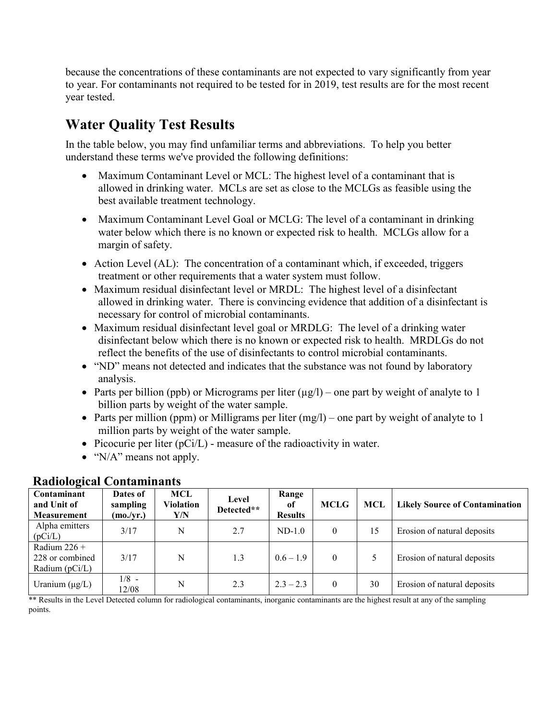because the concentrations of these contaminants are not expected to vary significantly from year to year. For contaminants not required to be tested for in 2019, test results are for the most recent year tested.

# **Water Quality Test Results**

In the table below, you may find unfamiliar terms and abbreviations. To help you better understand these terms we've provided the following definitions:

- Maximum Contaminant Level or MCL: The highest level of a contaminant that is allowed in drinking water. MCLs are set as close to the MCLGs as feasible using the best available treatment technology.
- Maximum Contaminant Level Goal or MCLG: The level of a contaminant in drinking water below which there is no known or expected risk to health. MCLGs allow for a margin of safety.
- Action Level (AL): The concentration of a contaminant which, if exceeded, triggers treatment or other requirements that a water system must follow.
- Maximum residual disinfectant level or MRDL: The highest level of a disinfectant allowed in drinking water. There is convincing evidence that addition of a disinfectant is necessary for control of microbial contaminants.
- Maximum residual disinfectant level goal or MRDLG: The level of a drinking water disinfectant below which there is no known or expected risk to health. MRDLGs do not reflect the benefits of the use of disinfectants to control microbial contaminants.
- "ND" means not detected and indicates that the substance was not found by laboratory analysis.
- Parts per billion (ppb) or Micrograms per liter  $(\mu g/l)$  one part by weight of analyte to 1 billion parts by weight of the water sample.
- Parts per million (ppm) or Milligrams per liter  $(mg/1)$  one part by weight of analyte to 1 million parts by weight of the water sample.
- Picocurie per liter  $(pCi/L)$  measure of the radioactivity in water.
- "N/A" means not apply.

| Contaminant<br>and Unit of<br><b>Measurement</b>      | Dates of<br>sampling<br>(mo./yr.) | MCL<br><b>Violation</b><br>Y/N | Level<br>Detected** | Range<br>of<br><b>Results</b> | <b>MCLG</b>    | MCL | <b>Likely Source of Contamination</b> |
|-------------------------------------------------------|-----------------------------------|--------------------------------|---------------------|-------------------------------|----------------|-----|---------------------------------------|
| Alpha emitters<br>(pCi/L)                             | 3/17                              | N                              | 2.7                 | $ND-1.0$                      | $\overline{0}$ | 15  | Erosion of natural deposits           |
| Radium $226 +$<br>228 or combined<br>Radium $(pCi/L)$ | 3/17                              | N                              | 1.3                 | $0.6 - 1.9$                   | $\theta$       |     | Erosion of natural deposits           |
| Uranium $(\mu g/L)$                                   | $1/8$ -<br>12/08                  | N                              | 2.3                 | $2.3 - 2.3$                   | $\theta$       | 30  | Erosion of natural deposits           |

### **Radiological Contaminants**

\*\* Results in the Level Detected column for radiological contaminants, inorganic contaminants are the highest result at any of the sampling points.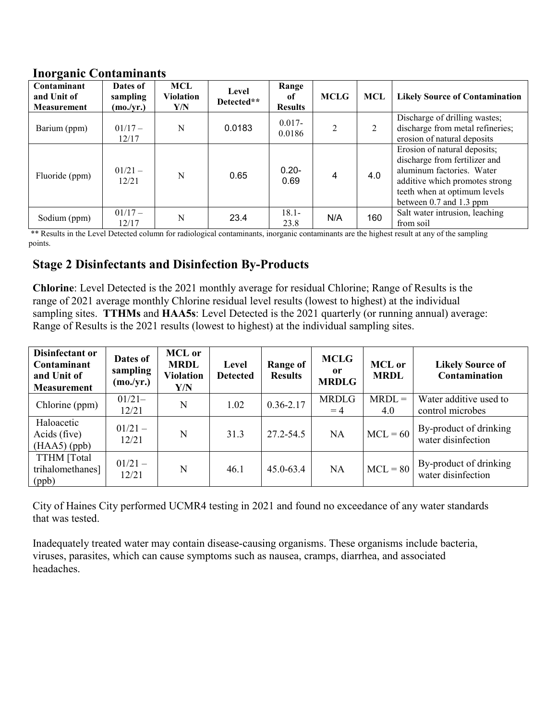#### **Inorganic Contaminants**

| $\cdot$<br>Contaminant<br>and Unit of<br><b>Measurement</b> | Dates of<br>sampling<br>(mo./yr.) | MCL<br><b>Violation</b><br>Y/N | Level<br>Detected** | Range<br><sub>of</sub><br><b>Results</b> | <b>MCLG</b>    | <b>MCL</b> | <b>Likely Source of Contamination</b>                                                                                                                                                   |
|-------------------------------------------------------------|-----------------------------------|--------------------------------|---------------------|------------------------------------------|----------------|------------|-----------------------------------------------------------------------------------------------------------------------------------------------------------------------------------------|
| Barium (ppm)                                                | $01/17-$<br>12/17                 | N                              | 0.0183              | $0.017 -$<br>0.0186                      | $\overline{2}$ | 2          | Discharge of drilling wastes;<br>discharge from metal refineries;<br>erosion of natural deposits                                                                                        |
| Fluoride (ppm)                                              | $01/21 -$<br>12/21                | N                              | 0.65                | $0.20 -$<br>0.69                         | 4              | 4.0        | Erosion of natural deposits;<br>discharge from fertilizer and<br>aluminum factories. Water<br>additive which promotes strong<br>teeth when at optimum levels<br>between 0.7 and 1.3 ppm |
| Sodium (ppm)                                                | $01/17-$<br>12/17                 | N                              | 23.4                | $18.1 -$<br>23.8                         | N/A            | 160        | Salt water intrusion, leaching<br>from soil                                                                                                                                             |

\*\* Results in the Level Detected column for radiological contaminants, inorganic contaminants are the highest result at any of the sampling points.

### **Stage 2 Disinfectants and Disinfection By-Products**

**Chlorine**: Level Detected is the 2021 monthly average for residual Chlorine; Range of Results is the range of 2021 average monthly Chlorine residual level results (lowest to highest) at the individual sampling sites. **TTHMs** and **HAA5s**: Level Detected is the 2021 quarterly (or running annual) average: Range of Results is the 2021 results (lowest to highest) at the individual sampling sites.

| Disinfectant or<br>Contaminant<br>and Unit of<br><b>Measurement</b> | Dates of<br>sampling<br>(mo./yr.) | <b>MCL</b> or<br><b>MRDL</b><br><b>Violation</b><br>Y/N | Level<br><b>Detected</b> | Range of<br><b>Results</b> | <b>MCLG</b><br>or<br><b>MRDLG</b> | <b>MCL</b> or<br><b>MRDL</b> | <b>Likely Source of</b><br>Contamination     |
|---------------------------------------------------------------------|-----------------------------------|---------------------------------------------------------|--------------------------|----------------------------|-----------------------------------|------------------------------|----------------------------------------------|
| Chlorine (ppm)                                                      | $01/21-$<br>12/21                 | N                                                       | 1.02                     | $0.36 - 2.17$              | <b>MRDLG</b><br>$=4$              | $MRDL =$<br>4.0              | Water additive used to<br>control microbes   |
| Haloacetic<br>Acids (five)<br>$(HAA5)$ (ppb)                        | $01/21 -$<br>12/21                | N                                                       | 31.3                     | 27.2-54.5                  | <b>NA</b>                         | $MCL = 60$                   | By-product of drinking<br>water disinfection |
| TTHM [Total<br>trihalomethanes]<br>(ppb)                            | $01/21 -$<br>12/21                | N                                                       | 46.1                     | 45.0-63.4                  | <b>NA</b>                         | $MCL = 80$                   | By-product of drinking<br>water disinfection |

City of Haines City performed UCMR4 testing in 2021 and found no exceedance of any water standards that was tested.

Inadequately treated water may contain disease-causing organisms. These organisms include bacteria, viruses, parasites, which can cause symptoms such as nausea, cramps, diarrhea, and associated headaches.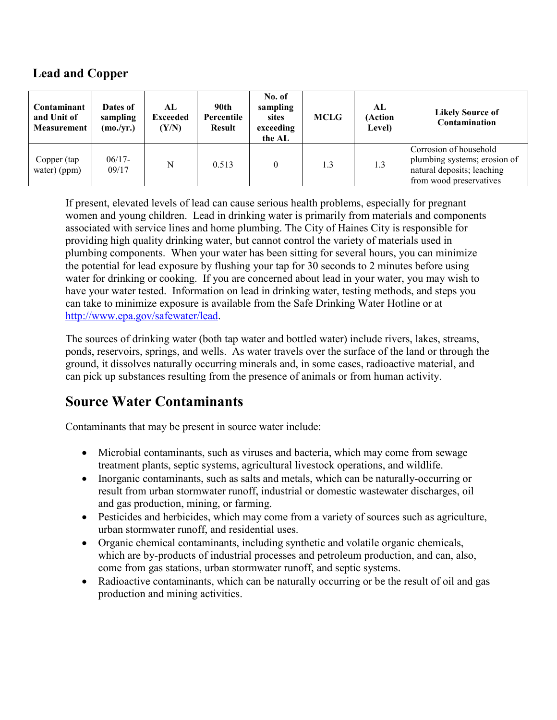### **Lead and Copper**

| Contaminant<br>and Unit of<br><b>Measurement</b> | Dates of<br>sampling<br>(mo./yr.) | AL.<br><b>Exceeded</b><br>(Y/N) | 90th<br>Percentile<br><b>Result</b> | No. of<br>sampling<br>sites<br>exceeding<br>the AL | <b>MCLG</b> | AL<br>(Action<br>Level) | <b>Likely Source of</b><br>Contamination                                                                        |
|--------------------------------------------------|-----------------------------------|---------------------------------|-------------------------------------|----------------------------------------------------|-------------|-------------------------|-----------------------------------------------------------------------------------------------------------------|
| Copper (tap<br>water) (ppm)                      | $06/17-$<br>09/17                 | N                               | 0.513                               |                                                    | 1.3         | 1.3                     | Corrosion of household<br>plumbing systems; erosion of<br>natural deposits; leaching<br>from wood preservatives |

If present, elevated levels of lead can cause serious health problems, especially for pregnant women and young children. Lead in drinking water is primarily from materials and components associated with service lines and home plumbing. The City of Haines City is responsible for providing high quality drinking water, but cannot control the variety of materials used in plumbing components. When your water has been sitting for several hours, you can minimize the potential for lead exposure by flushing your tap for 30 seconds to 2 minutes before using water for drinking or cooking. If you are concerned about lead in your water, you may wish to have your water tested. Information on lead in drinking water, testing methods, and steps you can take to minimize exposure is available from the Safe Drinking Water Hotline or at [http://www.epa.gov/safewater/lead.](http://www.epa.gov/safewater/lead)

The sources of drinking water (both tap water and bottled water) include rivers, lakes, streams, ponds, reservoirs, springs, and wells. As water travels over the surface of the land or through the ground, it dissolves naturally occurring minerals and, in some cases, radioactive material, and can pick up substances resulting from the presence of animals or from human activity.

## **Source Water Contaminants**

Contaminants that may be present in source water include:

- Microbial contaminants, such as viruses and bacteria, which may come from sewage treatment plants, septic systems, agricultural livestock operations, and wildlife.
- Inorganic contaminants, such as salts and metals, which can be naturally-occurring or result from urban stormwater runoff, industrial or domestic wastewater discharges, oil and gas production, mining, or farming.
- Pesticides and herbicides, which may come from a variety of sources such as agriculture, urban stormwater runoff, and residential uses.
- Organic chemical contaminants, including synthetic and volatile organic chemicals, which are by-products of industrial processes and petroleum production, and can, also, come from gas stations, urban stormwater runoff, and septic systems.
- Radioactive contaminants, which can be naturally occurring or be the result of oil and gas production and mining activities.